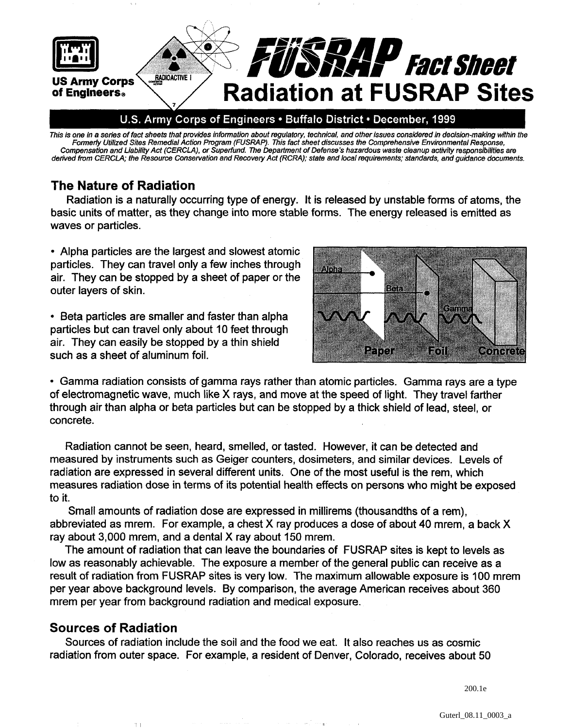

This is one in a series of fact sheets that provides information about regulatory, technical, and other issues considered in decision-making within the **Formerly Utilized Sites Remedial Action Program (FUSRAP). This fact sheet discusses the Comprehensive Environmental Response,**  Compensation and Liability Act (CERCLA), or Superfund. The Department of Defense's hazardous waste cleanup activity responsibilities are **derived from CERCLA; the Resource Conservation and Recovery Act (RCRA); state and local requirements; standards, and guidance documents.** 

## **The Nature of Radiation**

Radiation is a naturally occurring type of energy. It is released by unstable forms of atoms, the basic units of matter, as they change into more stable forms. The energy released is emitted as waves or particles.

Alpha particles are the largest and slowest atomic particles. They can travel only a few inches through air. They can be stopped by a sheet of paper or the outer layers of skin.

• Beta particles are smaller and faster than alpha particles but can travel only about 10 feet through air. They can easily be stopped by a thin shield such as a sheet of aluminum foil.



Gamma radiation consists of gamma rays rather than atomic particles. Gamma rays are a type of electromagnetic wave, much like X rays, and move at the speed of light. They travel farther through air than alpha or beta particles but can be stopped by a thick shield of lead, steel, or concrete.

Radiation cannot be seen, heard, smelled, or tasted. However, it can be detected and measured by instruments such as Geiger counters, dosimeters, and similar devices. Levels of radiation are expressed in several different units. One of the most useful is the rem, which measures radiation dose in terms of its potential health effects on persons who might be exposed to it.

Small amounts of radiation dose are expressed in millirems (thousandths of a rem), abbreviated as mrem. For example, a chest X ray produces a dose of about 40 mrem, a back X ray about 3,000 mrem, and a dental X ray about 150 mrem.

The amount of radiation that can leave the boundaries of FUSRAP sites is kept to levels as low as reasonably achievable. The exposure a member of the general public can receive as a result of radiation from FUSRAP sites is very low. The maximum allowable exposure is 100 mrem per year above background levels. By comparison, the average American receives about 360 mrem per year from background radiation and medical exposure.

# **Sources of Radiation**

Sources of radiation include the soil and the food we eat. It also reaches us as cosmic radiation from outer space. For example, a resident of Denver, Colorado, receives about 50

200.1e